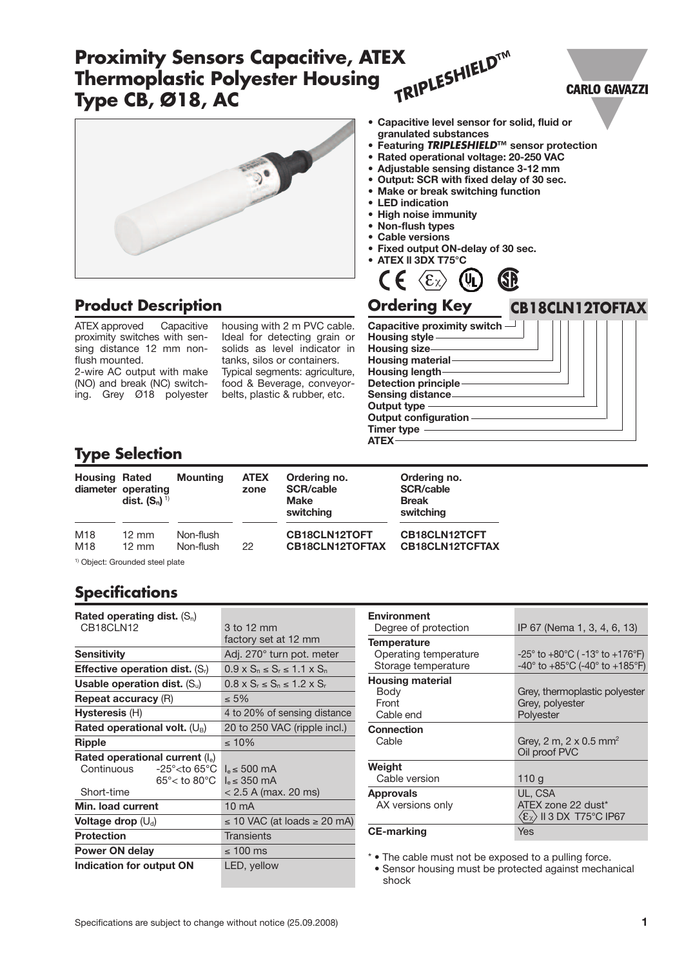#### *TRIPLESHIELD***™ Proximity Sensors Capacitive, ATEX Thermoplastic Polyester Housing CARLO GAVAZZI Type CB, Ø18, AC • Capacitive level sensor for solid, fluid or granulated substances • Featuring** *TRIPLESHIELD***™ sensor protection • Rated operational voltage: 20-250 VAC • Adjustable sensing distance 3-12 mm • Output: SCR with fixed delay of 30 sec. • Make or break switching function • LED indication • High noise immunity • Non-flush types • Cable versions • Fixed output ON-delay of 30 sec. • ATEX ll 3DX T75°C** 6B  $\langle \mathbf{F}_\gamma$ (U<sub>I</sub> **Product Description Ordering Key CB18CLN12TOFTAX**

ATEX approved Capacitive proximity switches with sensing distance 12 mm nonflush mounted.

2-wire AC output with make (NO) and break (NC) switching. Grey Ø18 polyester

housing with 2 m PVC cable. Ideal for detecting grain or solids as level indicator in tanks, silos or containers. Typical segments: agriculture, food & Beverage, conveyorbelts, plastic & rubber, etc.



## **Type Selection**

# **Specifications**

| Rated operating dist. $(S_n)$                   |                                             |
|-------------------------------------------------|---------------------------------------------|
| CB <sub>18</sub> CLN <sub>12</sub>              | 3 to 12 mm                                  |
|                                                 | factory set at 12 mm                        |
| Sensitivity                                     | Adj. 270° turn pot. meter                   |
| <b>Effective operation dist.</b> $(S_i)$        | $0.9 \times S_n \le S_r \le 1.1 \times S_n$ |
| Usable operation dist. $(S_u)$                  | $0.8 \times S_r \le S_n \le 1.2 \times S_r$ |
| <b>Repeat accuracy (R)</b>                      | $< 5\%$                                     |
| Hysteresis (H)                                  | 4 to 20% of sensing distance                |
| Rated operational volt. $(U_B)$                 | 20 to 250 VAC (ripple incl.)                |
| <b>Ripple</b>                                   | $\leq 10\%$                                 |
| Rated operational current $(I_e)$               |                                             |
| Continuous<br>$-25^{\circ}$ cto 65 $^{\circ}$ C | $I_e \leq 500$ mA                           |
| $65^{\circ}$ < to $80^{\circ}$ C                | $I_e \leq 350$ mA                           |
| Short-time                                      | $< 2.5$ A (max. 20 ms)                      |
| Min. load current                               | $10 \text{ mA}$                             |
| Voltage drop $(U_d)$                            | $\leq$ 10 VAC (at loads $\geq$ 20 mA)       |
| <b>Protection</b>                               | Transients                                  |
| Power ON delay                                  | ≤ 100 ms                                    |
| Indication for output ON                        | LED, yellow                                 |

| <b>Environment</b><br>Degree of protection            | IP 67 (Nema 1, 3, 4, 6, 13)                                                                                                           |
|-------------------------------------------------------|---------------------------------------------------------------------------------------------------------------------------------------|
| <b>Temperature</b>                                    |                                                                                                                                       |
| Operating temperature<br>Storage temperature          | $-25^{\circ}$ to $+80^{\circ}$ C ( -13 $^{\circ}$ to $+176^{\circ}$ F)<br>$-40^{\circ}$ to $+85^{\circ}$ C (-40° to $+185^{\circ}$ F) |
| <b>Housing material</b><br>Body<br>Front<br>Cable end | Grey, thermoplastic polyester<br>Grey, polyester<br>Polyester                                                                         |
| Connection<br>Cable                                   | Grey, 2 m, 2 x 0.5 mm <sup>2</sup><br>Oil proof PVC                                                                                   |
| Weight                                                |                                                                                                                                       |
| Cable version                                         | 110 g                                                                                                                                 |
| <b>Approvals</b><br>AX versions only                  | UL, CSA<br>ATEX zone 22 dust*<br>$\langle \epsilon_{\rm X} \rangle$ ii 3 dx T75°C ip67                                                |
| <b>CE-marking</b>                                     | Yes                                                                                                                                   |

\* • The cable must not be exposed to a pulling force.

• Sensor housing must be protected against mechanical shock